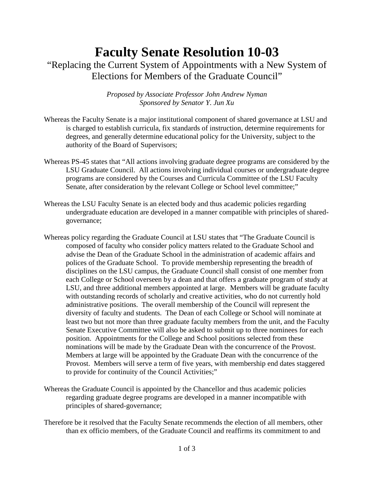## **Faculty Senate Resolution 10-03** "Replacing the Current System of Appointments with a New System of Elections for Members of the Graduate Council"

*Proposed by Associate Professor John Andrew Nyman Sponsored by Senator Y. Jun Xu*

- Whereas the Faculty Senate is a major institutional component of shared governance at LSU and is charged to establish curricula, fix standards of instruction, determine requirements for degrees, and generally determine educational policy for the University, subject to the authority of the Board of Supervisors;
- Whereas PS-45 states that "All actions involving graduate degree programs are considered by the LSU Graduate Council. All actions involving individual courses or undergraduate degree programs are considered by the Courses and Curricula Committee of the LSU Faculty Senate, after consideration by the relevant College or School level committee;"
- Whereas the LSU Faculty Senate is an elected body and thus academic policies regarding undergraduate education are developed in a manner compatible with principles of sharedgovernance;
- Whereas policy regarding the Graduate Council at LSU states that "The Graduate Council is composed of faculty who consider policy matters related to the Graduate School and advise the Dean of the Graduate School in the administration of academic affairs and polices of the Graduate School. To provide membership representing the breadth of disciplines on the LSU campus, the Graduate Council shall consist of one member from each College or School overseen by a dean and that offers a graduate program of study at LSU, and three additional members appointed at large. Members will be graduate faculty with outstanding records of scholarly and creative activities, who do not currently hold administrative positions. The overall membership of the Council will represent the diversity of faculty and students. The Dean of each College or School will nominate at least two but not more than three graduate faculty members from the unit, and the Faculty Senate Executive Committee will also be asked to submit up to three nominees for each position. Appointments for the College and School positions selected from these nominations will be made by the Graduate Dean with the concurrence of the Provost. Members at large will be appointed by the Graduate Dean with the concurrence of the Provost. Members will serve a term of five years, with membership end dates staggered to provide for continuity of the Council Activities;"
- Whereas the Graduate Council is appointed by the Chancellor and thus academic policies regarding graduate degree programs are developed in a manner incompatible with principles of shared-governance;
- Therefore be it resolved that the Faculty Senate recommends the election of all members, other than ex officio members, of the Graduate Council and reaffirms its commitment to and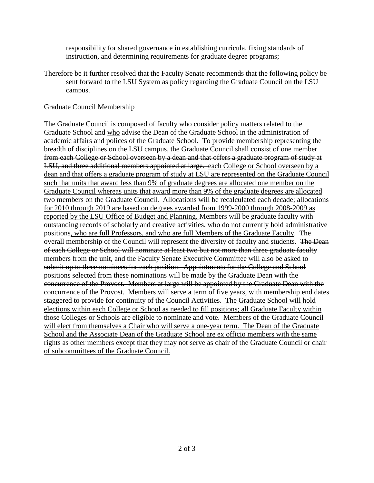responsibility for shared governance in establishing curricula, fixing standards of instruction, and determining requirements for graduate degree programs;

Therefore be it further resolved that the Faculty Senate recommends that the following policy be sent forward to the LSU System as policy regarding the Graduate Council on the LSU campus.

## Graduate Council Membership

The Graduate Council is composed of faculty who consider policy matters related to the Graduate School and who advise the Dean of the Graduate School in the administration of academic affairs and polices of the Graduate School. To provide membership representing the breadth of disciplines on the LSU campus, the Graduate Council shall consist of one member from each College or School overseen by a dean and that offers a graduate program of study at LSU, and three additional members appointed at large. each College or School overseen by a dean and that offers a graduate program of study at LSU are represented on the Graduate Council such that units that award less than 9% of graduate degrees are allocated one member on the Graduate Council whereas units that award more than 9% of the graduate degrees are allocated two members on the Graduate Council. Allocations will be recalculated each decade; allocations for 2010 through 2019 are based on degrees awarded from 1999-2000 through 2008-2009 as reported by the LSU Office of Budget and Planning. Members will be graduate faculty with outstanding records of scholarly and creative activities, who do not currently hold administrative positions, who are full Professors, and who are full Members of the Graduate Faculty. The overall membership of the Council will represent the diversity of faculty and students. The Dean of each College or School will nominate at least two but not more than three graduate faculty members from the unit, and the Faculty Senate Executive Committee will also be asked to submit up to three nominees for each position. Appointments for the College and School positions selected from these nominations will be made by the Graduate Dean with the concurrence of the Provost. Members at large will be appointed by the Graduate Dean with the concurrence of the Provost. Members will serve a term of five years, with membership end dates staggered to provide for continuity of the Council Activities. The Graduate School will hold elections within each College or School as needed to fill positions; all Graduate Faculty within those Colleges or Schools are eligible to nominate and vote. Members of the Graduate Council will elect from themselves a Chair who will serve a one-year term. The Dean of the Graduate School and the Associate Dean of the Graduate School are ex officio members with the same rights as other members except that they may not serve as chair of the Graduate Council or chair of subcommittees of the Graduate Council.